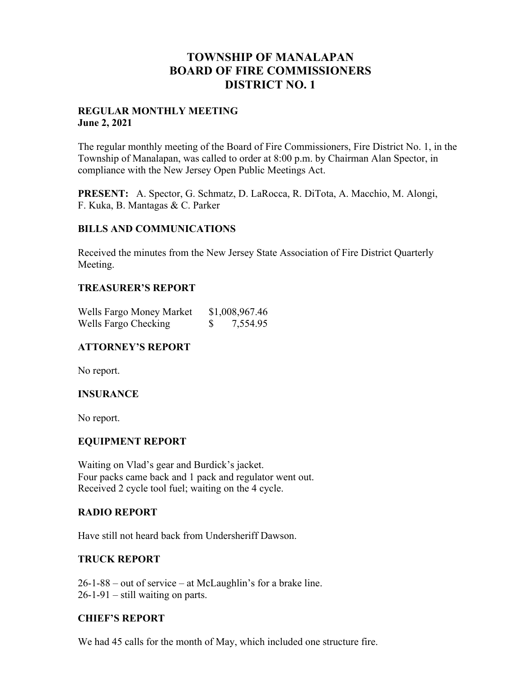## **TOWNSHIP OF MANALAPAN BOARD OF FIRE COMMISSIONERS DISTRICT NO. 1**

#### **REGULAR MONTHLY MEETING June 2, 2021**

The regular monthly meeting of the Board of Fire Commissioners, Fire District No. 1, in the Township of Manalapan, was called to order at 8:00 p.m. by Chairman Alan Spector, in compliance with the New Jersey Open Public Meetings Act.

**PRESENT:** A. Spector, G. Schmatz, D. LaRocca, R. DiTota, A. Macchio, M. Alongi, F. Kuka, B. Mantagas & C. Parker

#### **BILLS AND COMMUNICATIONS**

Received the minutes from the New Jersey State Association of Fire District Quarterly Meeting.

#### **TREASURER'S REPORT**

| Wells Fargo Money Market |   | \$1,008,967.46 |
|--------------------------|---|----------------|
| Wells Fargo Checking     | S | 7,554.95       |

## **ATTORNEY'S REPORT**

No report.

#### **INSURANCE**

No report.

#### **EQUIPMENT REPORT**

Waiting on Vlad's gear and Burdick's jacket. Four packs came back and 1 pack and regulator went out. Received 2 cycle tool fuel; waiting on the 4 cycle.

#### **RADIO REPORT**

Have still not heard back from Undersheriff Dawson.

## **TRUCK REPORT**

26-1-88 – out of service – at McLaughlin's for a brake line. 26-1-91 – still waiting on parts.

#### **CHIEF'S REPORT**

We had 45 calls for the month of May, which included one structure fire.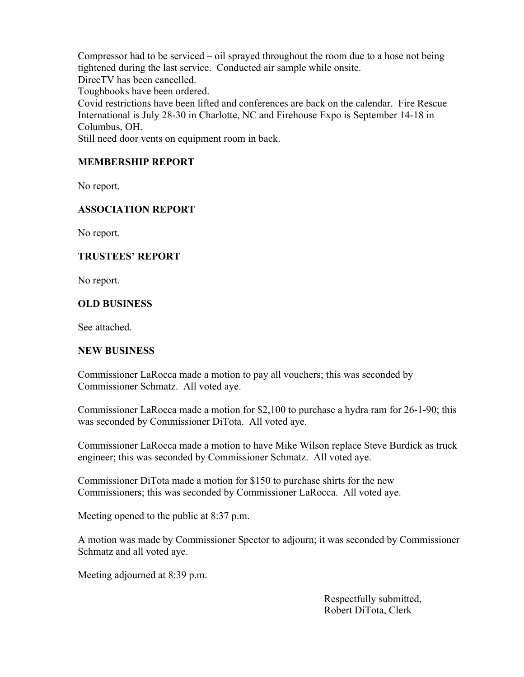Compressor had to be serviced – oil sprayed throughout the room due to a hose not being tightened during the last service. Conducted air sample while onsite. DirecTV has been cancelled.

Toughbooks have been ordered.

Covid restrictions have been lifted and conferences are back on the calendar. Fire Rescue International is July 28-30 in Charlotte, NC and Firehouse Expo is September 14-18 in Columbus, OH.

Still need door vents on equipment room in back.

## **MEMBERSHIP REPORT**

No report.

## **ASSOCIATION REPORT**

No report.

## **TRUSTEES' REPORT**

No report.

#### **OLD BUSINESS**

See attached.

#### **NEW BUSINESS**

Commissioner LaRocca made a motion to pay all vouchers; this was seconded by Commissioner Schmatz. All voted aye.

Commissioner LaRocca made a motion for \$2,100 to purchase a hydra ram for 26-1-90; this was seconded by Commissioner DiTota. All voted aye.

Commissioner LaRocca made a motion to have Mike Wilson replace Steve Burdick as truck engineer; this was seconded by Commissioner Schmatz. All voted aye.

Commissioner DiTota made a motion for \$150 to purchase shirts for the new Commissioners; this was seconded by Commissioner LaRocca. All voted aye.

Meeting opened to the public at 8:37 p.m.

A motion was made by Commissioner Spector to adjourn; it was seconded by Commissioner Schmatz and all voted aye.

Meeting adjourned at 8:39 p.m.

 Respectfully submitted, Robert DiTota, Clerk